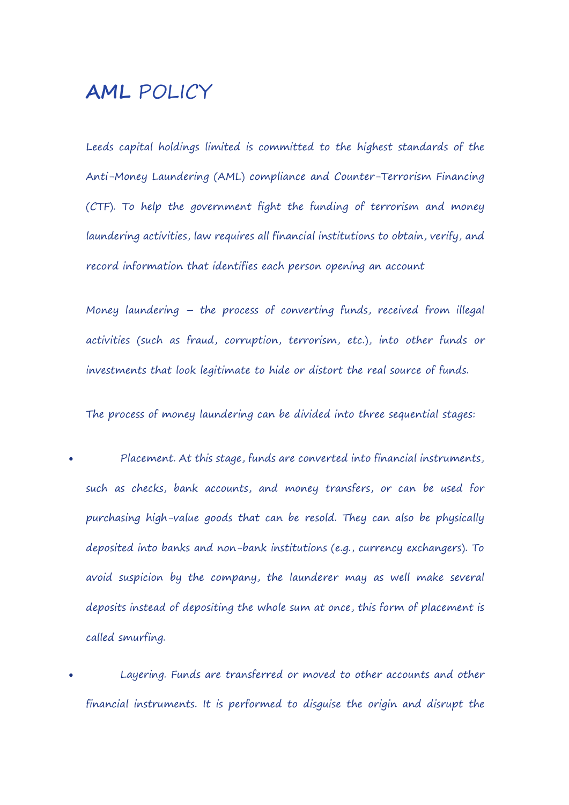# **AML** POLICY

Leeds capital holdings limited is committed to the highest standards of the Anti-Money Laundering (AML) compliance and Counter-Terrorism Financing (CTF). To help the government fight the funding of terrorism and money laundering activities, law requires all financial institutions to obtain, verify, and record information that identifies each person opening an account

Money laundering – the process of converting funds, received from illegal activities (such as fraud, corruption, terrorism, etc.), into other funds or investments that look legitimate to hide or distort the real source of funds.

The process of money laundering can be divided into three sequential stages:

- Placement. At this stage, funds are converted into financial instruments, such as checks, bank accounts, and money transfers, or can be used for purchasing high-value goods that can be resold. They can also be physically deposited into banks and non-bank institutions (e.g., currency exchangers).To avoid suspicion by the company, the launderer may as well make several deposits instead of depositing the whole sum at once, this form of placement is called smurfing.
- Layering. Funds are transferred or moved to other accounts and other financial instruments. It is performed to disguise the origin and disrupt the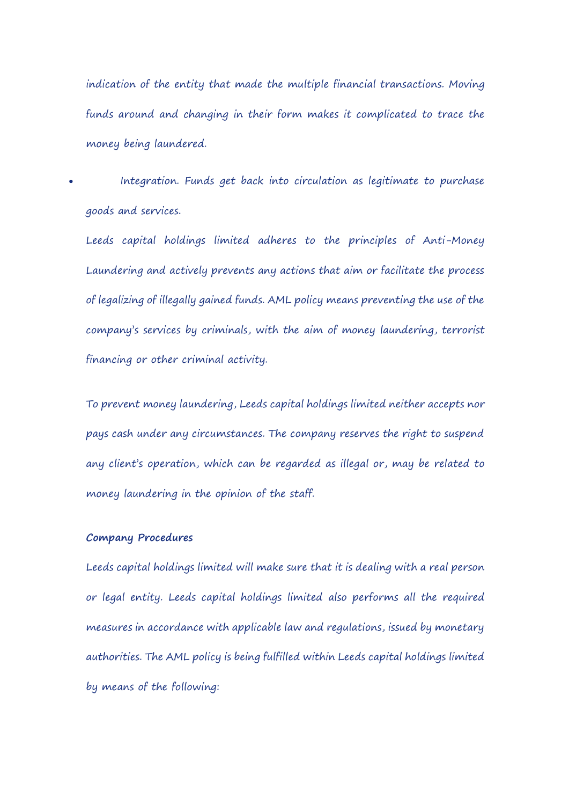indication of the entity that made the multiple financial transactions. Moving funds around and changing in their form makes it complicated to trace the money being laundered.

 Integration. Funds get back into circulation as legitimate to purchase goods and services.

Leeds capital holdings limited adheres to the principles of Anti-Money Laundering and actively prevents any actions that aim or facilitate the process of legalizing of illegally gained funds. AML policy means preventing the use of the company's services by criminals, with the aim of money laundering, terrorist financing or other criminal activity.

To prevent money laundering, Leeds capital holdings limited neither accepts nor pays cash under any circumstances. The company reserves the right to suspend any client's operation, which can be regarded as illegal or, may be related to money laundering in the opinion of the staff.

# **Company Procedures**

Leeds capital holdings limited will make sure that it is dealing with a real person or legal entity. Leeds capital holdings limited also performs all the required measures in accordance with applicable law and regulations, issued by monetary authorities. The AML policy is being fulfilled within Leeds capital holdings limited by means of the following: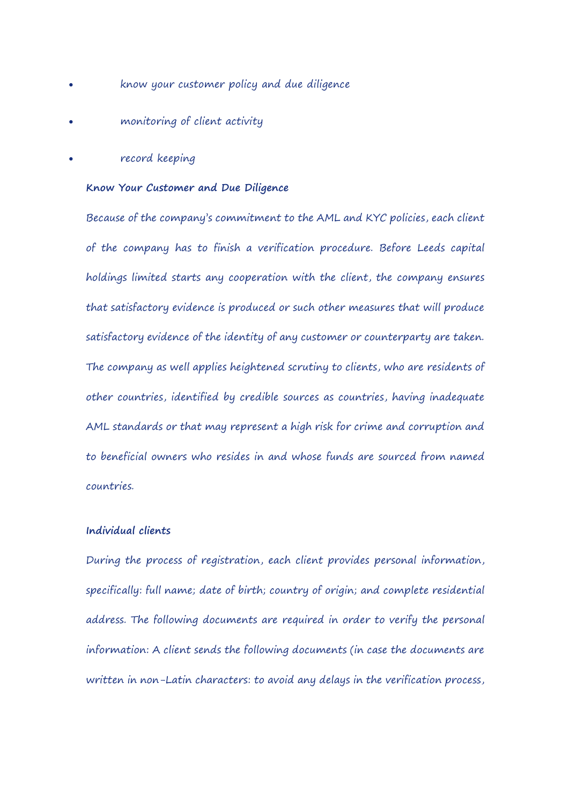- know your customer policy and due diligence
- monitoring of client activity
- record keeping

#### **Know Your Customer and Due Diligence**

Because of the company's commitment to the AML and KYC policies, each client of the company has to finish a verification procedure. Before Leeds capital holdings limited starts any cooperation with the client, the company ensures that satisfactory evidence is produced or such other measures that will produce satisfactory evidence of the identity of any customer or counterparty are taken. The company as well applies heightened scrutiny to clients, who are residents of other countries, identified by credible sources as countries, having inadequate AML standards or that may represent a high risk for crime and corruption and to beneficial owners who resides in and whose funds are sourced from named countries.

# **Individual clients**

During the process of registration, each client provides personal information, specifically: full name; date of birth; country of origin; and complete residential address. The following documents are required in order to verify the personal information: A client sends the following documents (in case the documents are written in non-Latin characters: to avoid any delays in the verification process,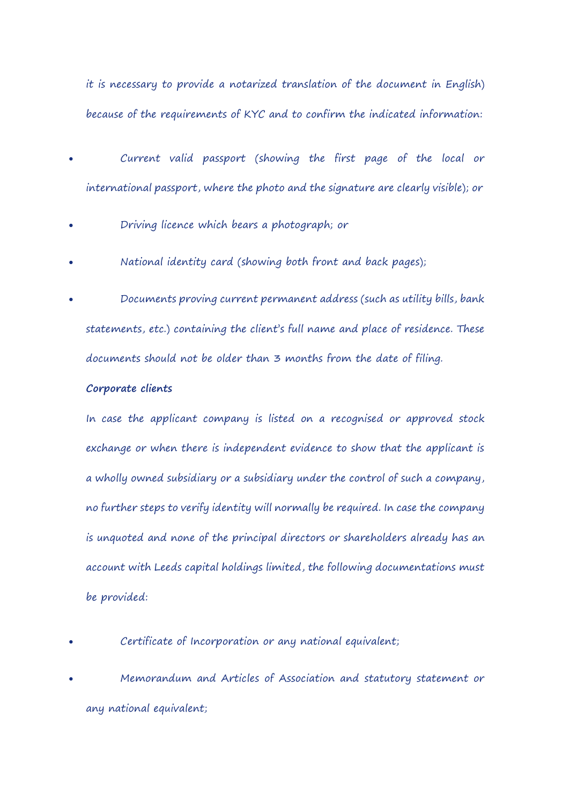it is necessary to provide a notarized translation of the document in English) because of the requirements of KYC and to confirm the indicated information:

- Current valid passport (showing the first page of the local or international passport, where the photo and the signature are clearly visible); or
- Driving licence which bears a photograph; or
- National identity card (showing both frontand back pages);
- Documents proving current permanent address (such as utility bills, bank statements, etc.) containing the client's full name and place of residence. These documents should not be older than 3 months from the date of filing.

#### **Corporate clients**

In case the applicant company is listed on a recognised or approved stock exchange or when there is independent evidence to show that the applicant is a wholly owned subsidiary or a subsidiary under the control of such a company, no further steps to verify identity will normally be required. In case the company is unquoted and none of the principal directors or shareholders already has an account with Leeds capital holdings limited, the following documentations must be provided:

- Certificate of Incorporation or any national equivalent;
- Memorandum and Articles of Association and statutory statement or any national equivalent;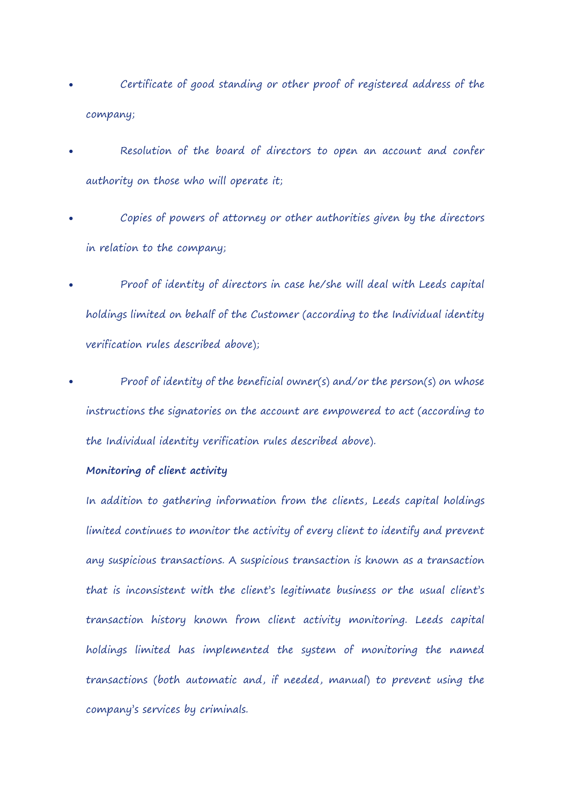- Certificate of good standing or other proof of registered address of the company;
- Resolution of the board of directors to open an account and confer authority on those who will operate it;
- Copies of powers of attorney or other authorities given by the directors in relation to the company;
- Proof of identity of directors in case he/she will deal with Leeds capital holdings limited on behalf of the Customer (according to the Individual identity verification rules described above);
- Proof of identity of the beneficial owner(s) and/or the person(s) on whose instructions the signatories on the account are empowered to act(according to the Individual identity verification rules described above).

# **Monitoring of client activity**

In addition to gathering information from the clients, Leeds capital holdings limited continues to monitor the activity of every client to identify and prevent any suspicious transactions. A suspicious transaction is known as a transaction that is inconsistent with the client's legitimate business or the usual client's transaction history known from client activity monitoring. Leeds capital holdings limited has implemented the system of monitoring the named transactions (both automatic and, if needed, manual) to prevent using the company's services by criminals.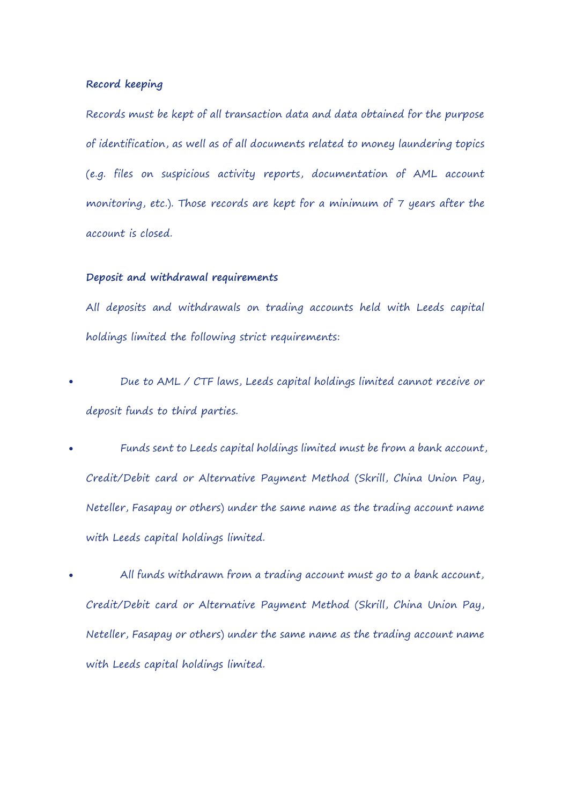# **Record keeping**

Records must be kept of all transaction data and data obtained for the purpose of identification, as well as of all documents related to money laundering topics (e.g. files on suspicious activity reports, documentation of AML account monitoring, etc.). Those records are kept for a minimum of 7 years after the account is closed.

# **Deposit and withdrawal requirements**

All deposits and withdrawals on trading accounts held with Leeds capital holdings limited the following strict requirements:

- Due to AML / CTF laws, Leeds capital holdings limited cannot receive or deposit funds to third parties.
- Funds sent to Leeds capital holdings limited must be from a bank account, Credit/Debit card or Alternative Payment Method (Skrill, China Union Pay, Neteller, Fasapay or others) under the same name as the trading account name with Leeds capital holdings limited.
- All funds withdrawn from a trading account must go to a bank account, Credit/Debit card or Alternative Payment Method (Skrill, China Union Pay, Neteller, Fasapay or others) under the same name as the trading account name with Leeds capital holdings limited.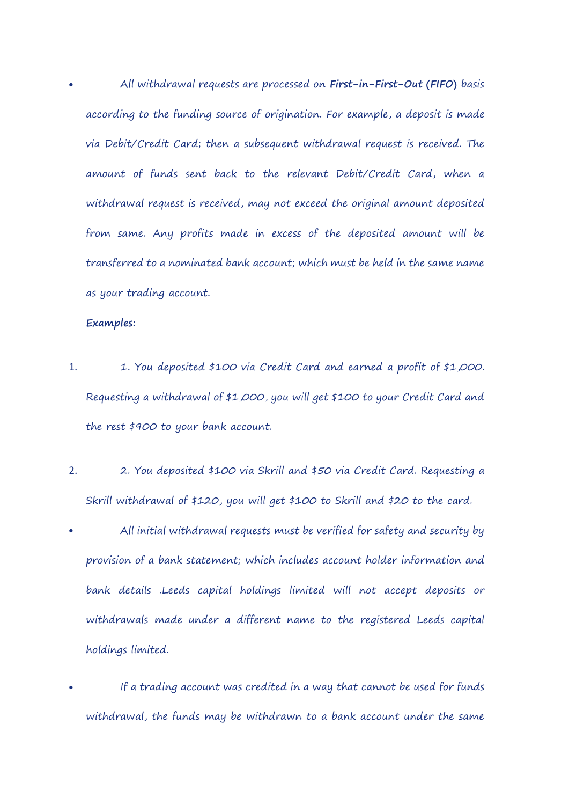All withdrawal requests are processed on **First-in-First-Out (FIFO)** basis according to the funding source of origination. For example, a deposit is made via Debit/Credit Card; then a subsequent withdrawal request is received. The amount of funds sent back to the relevant Debit/Credit Card, when a withdrawal request is received, may not exceed the original amount deposited from same. Any profits made in excess of the deposited amount will be transferred to a nominated bank account; which must be held in the same name as your trading account.

# **Examples:**

- 1. 1. You deposited \$100 via Credit Card and earned a profit of \$1,000. Requesting a withdrawal of \$1,000, you will get \$100 to your Credit Card and the rest \$900 to your bank account.
- 2. 2. You deposited \$100 via Skrill and \$50 via Credit Card. Requesting a Skrill withdrawal of \$120, you will get \$100 to Skrill and \$20 to the card.
- All initial withdrawal requests must be verified for safety and security by provision of a bank statement; which includes account holder information and bank details .Leeds capital holdings limited will not accept deposits or withdrawals made under a different name to the registered Leeds capital holdings limited.
- If a trading account was credited in a way that cannot be used for funds withdrawal, the funds may be withdrawn to a bank account under the same